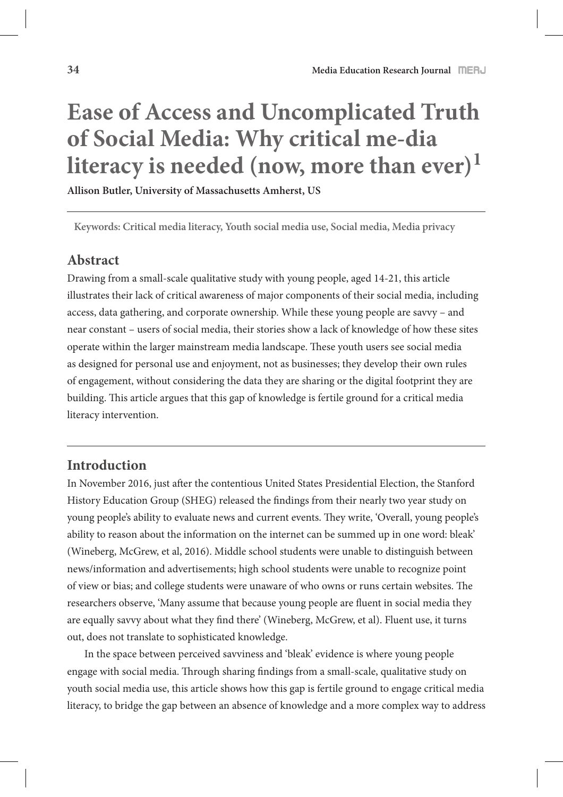# **Ease of Access and Uncomplicated Truth of Social Media: Why critical me-dia**  literacy is needed (now, more than ever)<sup>1</sup>

**Allison Butler, University of Massachusetts Amherst, US**

**Keywords: Critical media literacy, Youth social media use, Social media, Media privacy** 

# **Abstract**

Drawing from a small-scale qualitative study with young people, aged 14-21, this article illustrates their lack of critical awareness of major components of their social media, including access, data gathering, and corporate ownership. While these young people are savvy – and near constant – users of social media, their stories show a lack of knowledge of how these sites operate within the larger mainstream media landscape. These youth users see social media as designed for personal use and enjoyment, not as businesses; they develop their own rules of engagement, without considering the data they are sharing or the digital footprint they are building. This article argues that this gap of knowledge is fertile ground for a critical media literacy intervention.

# **Introduction**

In November 2016, just after the contentious United States Presidential Election, the Stanford History Education Group (SHEG) released the findings from their nearly two year study on young people's ability to evaluate news and current events. They write, 'Overall, young people's ability to reason about the information on the internet can be summed up in one word: bleak' (Wineberg, McGrew, et al, 2016). Middle school students were unable to distinguish between news/information and advertisements; high school students were unable to recognize point of view or bias; and college students were unaware of who owns or runs certain websites. The researchers observe, 'Many assume that because young people are fluent in social media they are equally savvy about what they find there' (Wineberg, McGrew, et al). Fluent use, it turns out, does not translate to sophisticated knowledge.

In the space between perceived savviness and 'bleak' evidence is where young people engage with social media. Through sharing findings from a small-scale, qualitative study on youth social media use, this article shows how this gap is fertile ground to engage critical media literacy, to bridge the gap between an absence of knowledge and a more complex way to address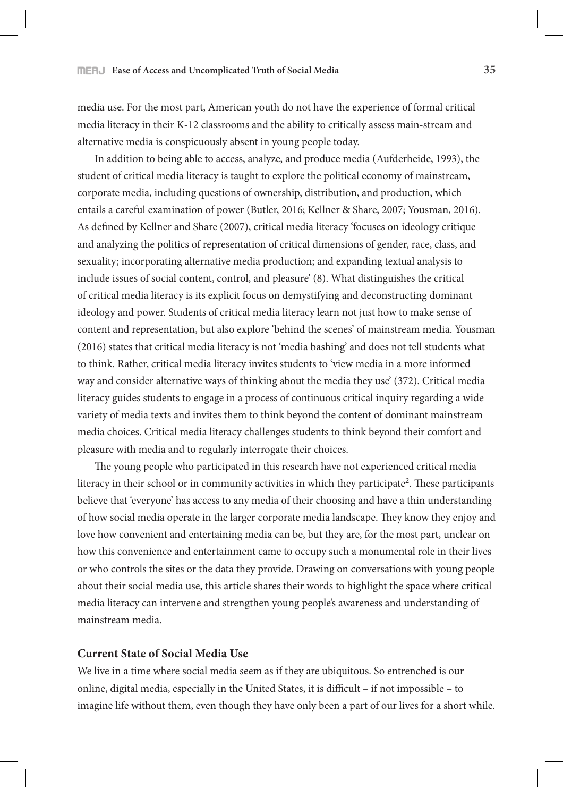media use. For the most part, American youth do not have the experience of formal critical media literacy in their K-12 classrooms and the ability to critically assess main-stream and alternative media is conspicuously absent in young people today.

In addition to being able to access, analyze, and produce media (Aufderheide, 1993), the student of critical media literacy is taught to explore the political economy of mainstream, corporate media, including questions of ownership, distribution, and production, which entails a careful examination of power (Butler, 2016; Kellner & Share, 2007; Yousman, 2016). As defined by Kellner and Share (2007), critical media literacy 'focuses on ideology critique and analyzing the politics of representation of critical dimensions of gender, race, class, and sexuality; incorporating alternative media production; and expanding textual analysis to include issues of social content, control, and pleasure' (8). What distinguishes the critical of critical media literacy is its explicit focus on demystifying and deconstructing dominant ideology and power. Students of critical media literacy learn not just how to make sense of content and representation, but also explore 'behind the scenes' of mainstream media. Yousman (2016) states that critical media literacy is not 'media bashing' and does not tell students what to think. Rather, critical media literacy invites students to 'view media in a more informed way and consider alternative ways of thinking about the media they use' (372). Critical media literacy guides students to engage in a process of continuous critical inquiry regarding a wide variety of media texts and invites them to think beyond the content of dominant mainstream media choices. Critical media literacy challenges students to think beyond their comfort and pleasure with media and to regularly interrogate their choices.

The young people who participated in this research have not experienced critical media literacy in their school or in community activities in which they participate<sup>2</sup>. These participants believe that 'everyone' has access to any media of their choosing and have a thin understanding of how social media operate in the larger corporate media landscape. They know they enjoy and love how convenient and entertaining media can be, but they are, for the most part, unclear on how this convenience and entertainment came to occupy such a monumental role in their lives or who controls the sites or the data they provide. Drawing on conversations with young people about their social media use, this article shares their words to highlight the space where critical media literacy can intervene and strengthen young people's awareness and understanding of mainstream media.

## **Current State of Social Media Use**

We live in a time where social media seem as if they are ubiquitous. So entrenched is our online, digital media, especially in the United States, it is difficult – if not impossible – to imagine life without them, even though they have only been a part of our lives for a short while.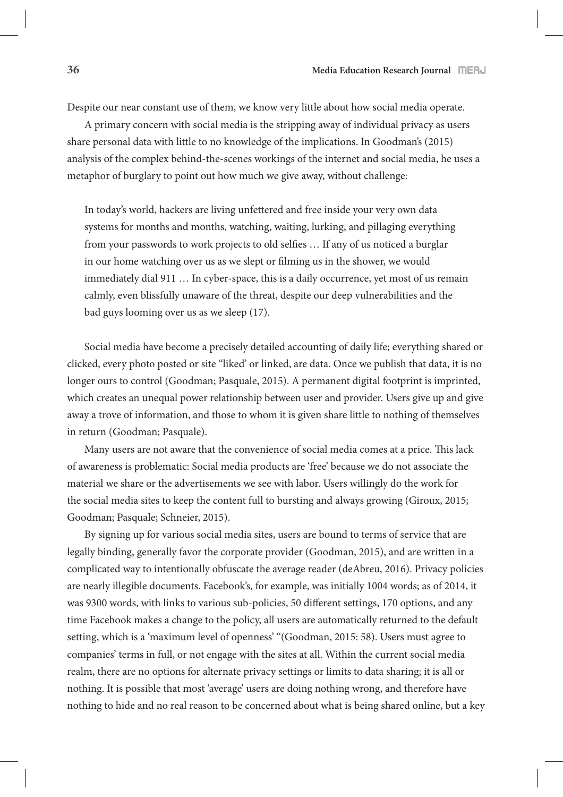Despite our near constant use of them, we know very little about how social media operate.

A primary concern with social media is the stripping away of individual privacy as users share personal data with little to no knowledge of the implications. In Goodman's (2015) analysis of the complex behind-the-scenes workings of the internet and social media, he uses a metaphor of burglary to point out how much we give away, without challenge:

In today's world, hackers are living unfettered and free inside your very own data systems for months and months, watching, waiting, lurking, and pillaging everything from your passwords to work projects to old selfies ... If any of us noticed a burglar in our home watching over us as we slept or filming us in the shower, we would immediately dial 911 … In cyber-space, this is a daily occurrence, yet most of us remain calmly, even blissfully unaware of the threat, despite our deep vulnerabilities and the bad guys looming over us as we sleep (17).

Social media have become a precisely detailed accounting of daily life; everything shared or clicked, every photo posted or site ''liked' or linked, are data. Once we publish that data, it is no longer ours to control (Goodman; Pasquale, 2015). A permanent digital footprint is imprinted, which creates an unequal power relationship between user and provider. Users give up and give away a trove of information, and those to whom it is given share little to nothing of themselves in return (Goodman; Pasquale).

Many users are not aware that the convenience of social media comes at a price. This lack of awareness is problematic: Social media products are 'free' because we do not associate the material we share or the advertisements we see with labor. Users willingly do the work for the social media sites to keep the content full to bursting and always growing (Giroux, 2015; Goodman; Pasquale; Schneier, 2015).

By signing up for various social media sites, users are bound to terms of service that are legally binding, generally favor the corporate provider (Goodman, 2015), and are written in a complicated way to intentionally obfuscate the average reader (deAbreu, 2016). Privacy policies are nearly illegible documents. Facebook's, for example, was initially 1004 words; as of 2014, it was 9300 words, with links to various sub-policies, 50 different settings, 170 options, and any time Facebook makes a change to the policy, all users are automatically returned to the default setting, which is a 'maximum level of openness' "(Goodman, 2015: 58). Users must agree to companies' terms in full, or not engage with the sites at all. Within the current social media realm, there are no options for alternate privacy settings or limits to data sharing; it is all or nothing. It is possible that most 'average' users are doing nothing wrong, and therefore have nothing to hide and no real reason to be concerned about what is being shared online, but a key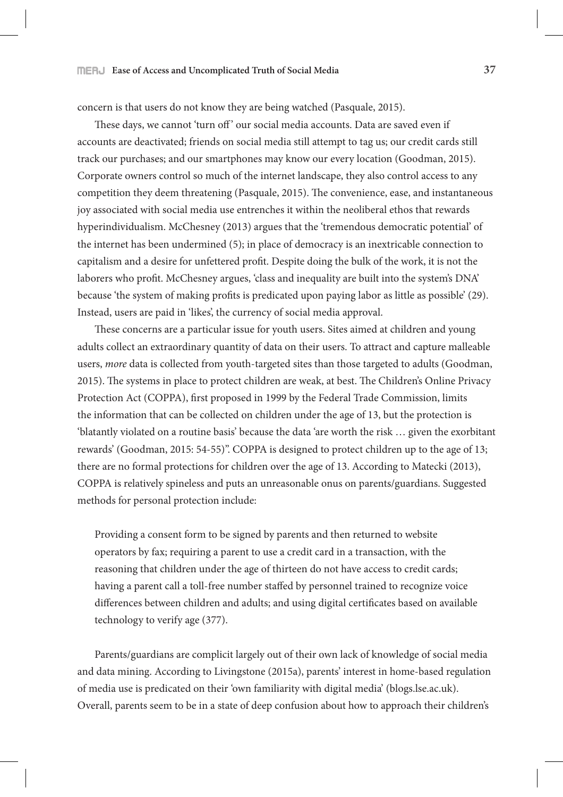### **Ease of Access and Uncomplicated Truth of Social Media 37**

concern is that users do not know they are being watched (Pasquale, 2015).

These days, we cannot 'turn off' our social media accounts. Data are saved even if accounts are deactivated; friends on social media still attempt to tag us; our credit cards still track our purchases; and our smartphones may know our every location (Goodman, 2015). Corporate owners control so much of the internet landscape, they also control access to any competition they deem threatening (Pasquale, 2015). The convenience, ease, and instantaneous joy associated with social media use entrenches it within the neoliberal ethos that rewards hyperindividualism. McChesney (2013) argues that the 'tremendous democratic potential' of the internet has been undermined (5); in place of democracy is an inextricable connection to capitalism and a desire for unfettered profit. Despite doing the bulk of the work, it is not the laborers who profit. McChesney argues, 'class and inequality are built into the system's DNA' because 'the system of making profits is predicated upon paying labor as little as possible' (29). Instead, users are paid in 'likes', the currency of social media approval.

These concerns are a particular issue for youth users. Sites aimed at children and young adults collect an extraordinary quantity of data on their users. To attract and capture malleable users, *more* data is collected from youth-targeted sites than those targeted to adults (Goodman, 2015). The systems in place to protect children are weak, at best. The Children's Online Privacy Protection Act (COPPA), first proposed in 1999 by the Federal Trade Commission, limits the information that can be collected on children under the age of 13, but the protection is 'blatantly violated on a routine basis' because the data 'are worth the risk … given the exorbitant rewards' (Goodman, 2015: 54-55)". COPPA is designed to protect children up to the age of 13; there are no formal protections for children over the age of 13. According to Matecki (2013), COPPA is relatively spineless and puts an unreasonable onus on parents/guardians. Suggested methods for personal protection include:

Providing a consent form to be signed by parents and then returned to website operators by fax; requiring a parent to use a credit card in a transaction, with the reasoning that children under the age of thirteen do not have access to credit cards; having a parent call a toll-free number staffed by personnel trained to recognize voice differences between children and adults; and using digital certificates based on available technology to verify age (377).

Parents/guardians are complicit largely out of their own lack of knowledge of social media and data mining. According to Livingstone (2015a), parents' interest in home-based regulation of media use is predicated on their 'own familiarity with digital media' (blogs.lse.ac.uk). Overall, parents seem to be in a state of deep confusion about how to approach their children's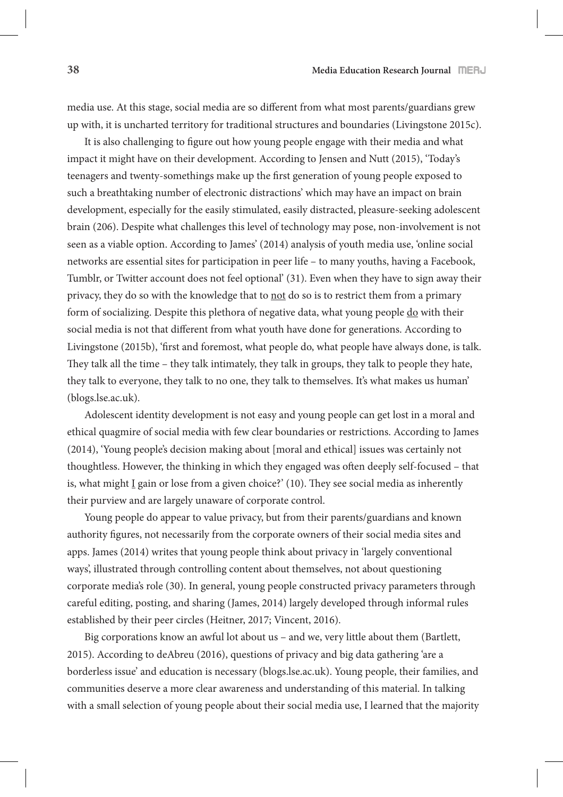media use. At this stage, social media are so different from what most parents/guardians grew up with, it is uncharted territory for traditional structures and boundaries (Livingstone 2015c).

It is also challenging to figure out how young people engage with their media and what impact it might have on their development. According to Jensen and Nutt (2015), 'Today's teenagers and twenty-somethings make up the first generation of young people exposed to such a breathtaking number of electronic distractions' which may have an impact on brain development, especially for the easily stimulated, easily distracted, pleasure-seeking adolescent brain (206). Despite what challenges this level of technology may pose, non-involvement is not seen as a viable option. According to James' (2014) analysis of youth media use, 'online social networks are essential sites for participation in peer life – to many youths, having a Facebook, Tumblr, or Twitter account does not feel optional' (31). Even when they have to sign away their privacy, they do so with the knowledge that to not do so is to restrict them from a primary form of socializing. Despite this plethora of negative data, what young people do with their social media is not that different from what youth have done for generations. According to Livingstone (2015b), 'first and foremost, what people do, what people have always done, is talk. They talk all the time – they talk intimately, they talk in groups, they talk to people they hate, they talk to everyone, they talk to no one, they talk to themselves. It's what makes us human' (blogs.lse.ac.uk).

Adolescent identity development is not easy and young people can get lost in a moral and ethical quagmire of social media with few clear boundaries or restrictions. According to James (2014), 'Young people's decision making about [moral and ethical] issues was certainly not thoughtless. However, the thinking in which they engaged was often deeply self-focused – that is, what might  $I$  gain or lose from a given choice?' (10). They see social media as inherently their purview and are largely unaware of corporate control.

Young people do appear to value privacy, but from their parents/guardians and known authority figures, not necessarily from the corporate owners of their social media sites and apps. James (2014) writes that young people think about privacy in 'largely conventional ways', illustrated through controlling content about themselves, not about questioning corporate media's role (30). In general, young people constructed privacy parameters through careful editing, posting, and sharing (James, 2014) largely developed through informal rules established by their peer circles (Heitner, 2017; Vincent, 2016).

Big corporations know an awful lot about us – and we, very little about them (Bartlett, 2015). According to deAbreu (2016), questions of privacy and big data gathering 'are a borderless issue' and education is necessary (blogs.lse.ac.uk). Young people, their families, and communities deserve a more clear awareness and understanding of this material. In talking with a small selection of young people about their social media use, I learned that the majority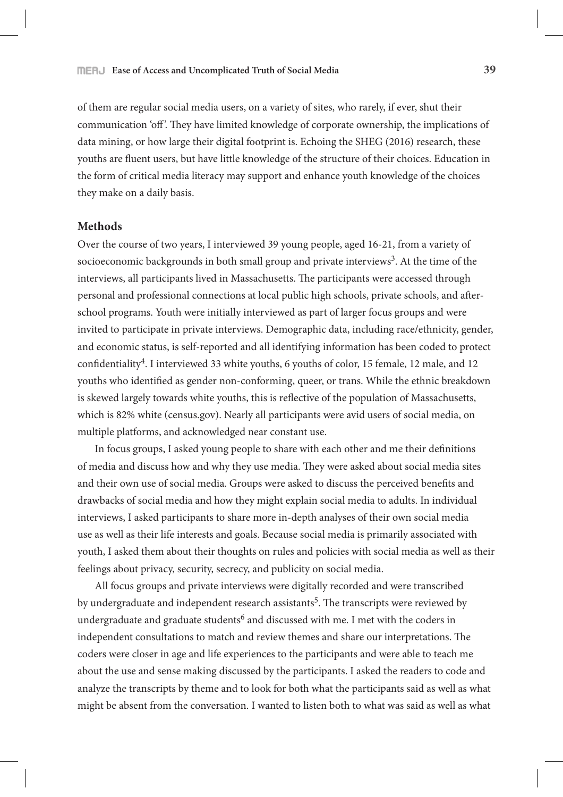of them are regular social media users, on a variety of sites, who rarely, if ever, shut their communication 'off'. They have limited knowledge of corporate ownership, the implications of data mining, or how large their digital footprint is. Echoing the SHEG (2016) research, these youths are fluent users, but have little knowledge of the structure of their choices. Education in the form of critical media literacy may support and enhance youth knowledge of the choices they make on a daily basis.

## **Methods**

Over the course of two years, I interviewed 39 young people, aged 16-21, from a variety of socioeconomic backgrounds in both small group and private interviews<sup>3</sup>. At the time of the interviews, all participants lived in Massachusetts. The participants were accessed through personal and professional connections at local public high schools, private schools, and afterschool programs. Youth were initially interviewed as part of larger focus groups and were invited to participate in private interviews. Demographic data, including race/ethnicity, gender, and economic status, is self-reported and all identifying information has been coded to protect confidentiality<sup>4</sup>. I interviewed 33 white youths, 6 youths of color, 15 female, 12 male, and 12 youths who identified as gender non-conforming, queer, or trans. While the ethnic breakdown is skewed largely towards white youths, this is reflective of the population of Massachusetts, which is 82% white (census.gov). Nearly all participants were avid users of social media, on multiple platforms, and acknowledged near constant use.

In focus groups, I asked young people to share with each other and me their definitions of media and discuss how and why they use media. They were asked about social media sites and their own use of social media. Groups were asked to discuss the perceived benefits and drawbacks of social media and how they might explain social media to adults. In individual interviews, I asked participants to share more in-depth analyses of their own social media use as well as their life interests and goals. Because social media is primarily associated with youth, I asked them about their thoughts on rules and policies with social media as well as their feelings about privacy, security, secrecy, and publicity on social media.

All focus groups and private interviews were digitally recorded and were transcribed by undergraduate and independent research assistants<sup>5</sup>. The transcripts were reviewed by undergraduate and graduate students<sup>6</sup> and discussed with me. I met with the coders in independent consultations to match and review themes and share our interpretations. The coders were closer in age and life experiences to the participants and were able to teach me about the use and sense making discussed by the participants. I asked the readers to code and analyze the transcripts by theme and to look for both what the participants said as well as what might be absent from the conversation. I wanted to listen both to what was said as well as what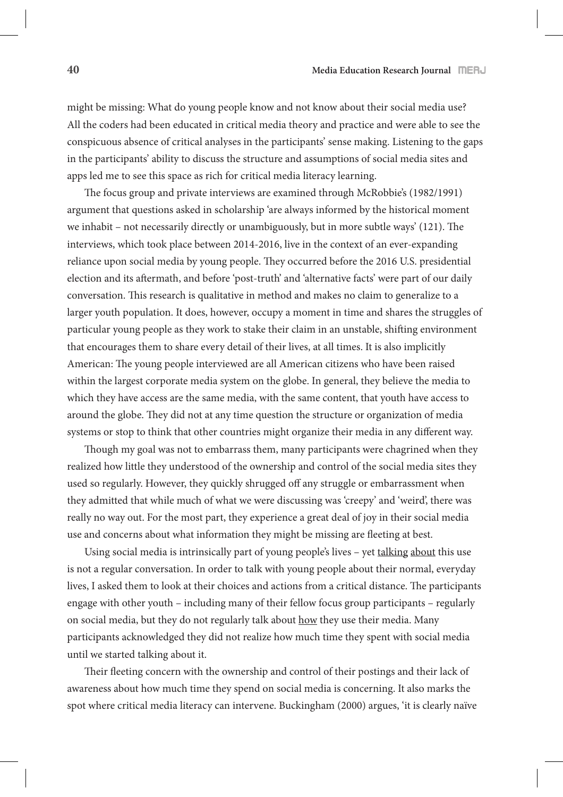might be missing: What do young people know and not know about their social media use? All the coders had been educated in critical media theory and practice and were able to see the conspicuous absence of critical analyses in the participants' sense making. Listening to the gaps in the participants' ability to discuss the structure and assumptions of social media sites and apps led me to see this space as rich for critical media literacy learning.

The focus group and private interviews are examined through McRobbie's (1982/1991) argument that questions asked in scholarship 'are always informed by the historical moment we inhabit – not necessarily directly or unambiguously, but in more subtle ways'  $(121)$ . The interviews, which took place between 2014-2016, live in the context of an ever-expanding reliance upon social media by young people. They occurred before the 2016 U.S. presidential election and its aftermath, and before 'post-truth' and 'alternative facts' were part of our daily conversation. This research is qualitative in method and makes no claim to generalize to a larger youth population. It does, however, occupy a moment in time and shares the struggles of particular young people as they work to stake their claim in an unstable, shifting environment that encourages them to share every detail of their lives, at all times. It is also implicitly American: The young people interviewed are all American citizens who have been raised within the largest corporate media system on the globe. In general, they believe the media to which they have access are the same media, with the same content, that youth have access to around the globe. They did not at any time question the structure or organization of media systems or stop to think that other countries might organize their media in any different way.

Though my goal was not to embarrass them, many participants were chagrined when they realized how little they understood of the ownership and control of the social media sites they used so regularly. However, they quickly shrugged off any struggle or embarrassment when they admitted that while much of what we were discussing was 'creepy' and 'weird', there was really no way out. For the most part, they experience a great deal of joy in their social media use and concerns about what information they might be missing are fleeting at best.

Using social media is intrinsically part of young people's lives – yet talking about this use is not a regular conversation. In order to talk with young people about their normal, everyday lives, I asked them to look at their choices and actions from a critical distance. The participants engage with other youth – including many of their fellow focus group participants – regularly on social media, but they do not regularly talk about how they use their media. Many participants acknowledged they did not realize how much time they spent with social media until we started talking about it.

Their fleeting concern with the ownership and control of their postings and their lack of awareness about how much time they spend on social media is concerning. It also marks the spot where critical media literacy can intervene. Buckingham (2000) argues, 'it is clearly naïve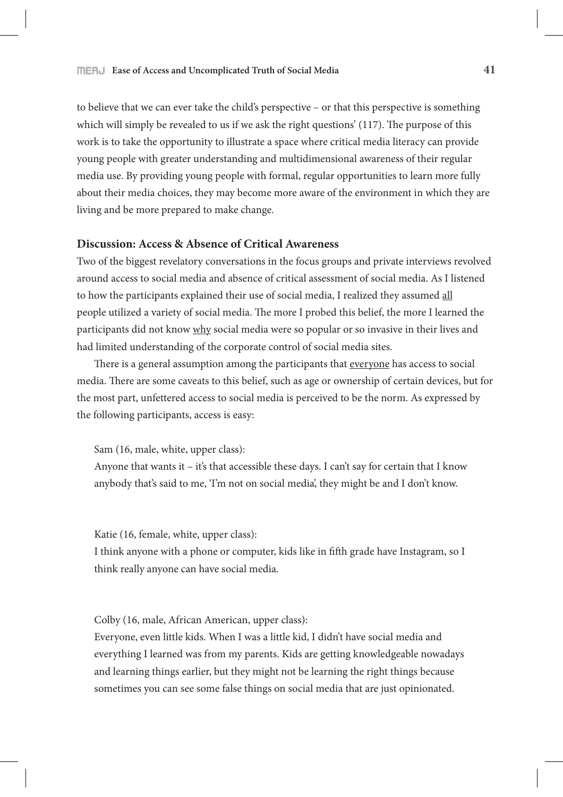#### **Ease of Access and Uncomplicated Truth of Social Media 41**

to believe that we can ever take the child's perspective – or that this perspective is something which will simply be revealed to us if we ask the right questions'  $(117)$ . The purpose of this work is to take the opportunity to illustrate a space where critical media literacy can provide young people with greater understanding and multidimensional awareness of their regular media use. By providing young people with formal, regular opportunities to learn more fully about their media choices, they may become more aware of the environment in which they are living and be more prepared to make change.

# **Discussion: Access & Absence of Critical Awareness**

Two of the biggest revelatory conversations in the focus groups and private interviews revolved around access to social media and absence of critical assessment of social media. As I listened to how the participants explained their use of social media, I realized they assumed all people utilized a variety of social media. The more I probed this belief, the more I learned the participants did not know why social media were so popular or so invasive in their lives and had limited understanding of the corporate control of social media sites.

There is a general assumption among the participants that everyone has access to social media. There are some caveats to this belief, such as age or ownership of certain devices, but for the most part, unfettered access to social media is perceived to be the norm. As expressed by the following participants, access is easy:

Sam (16, male, white, upper class):

Anyone that wants it – it's that accessible these days. I can't say for certain that I know anybody that's said to me, 'I'm not on social media', they might be and I don't know.

Katie (16, female, white, upper class):

I think anyone with a phone or computer, kids like in fifth grade have Instagram, so I think really anyone can have social media.

Colby (16, male, African American, upper class):

Everyone, even little kids. When I was a little kid, I didn't have social media and everything I learned was from my parents. Kids are getting knowledgeable nowadays and learning things earlier, but they might not be learning the right things because sometimes you can see some false things on social media that are just opinionated.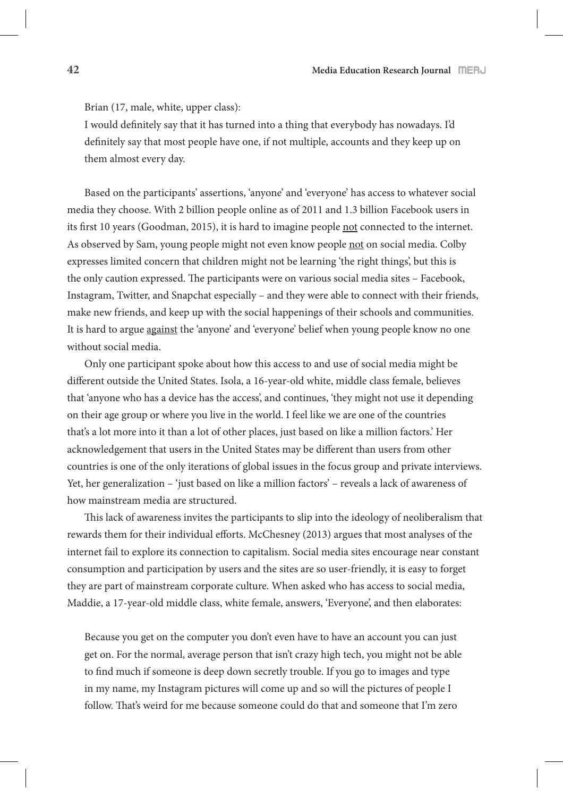Brian (17, male, white, upper class):

I would definitely say that it has turned into a thing that everybody has nowadays. I'd definitely say that most people have one, if not multiple, accounts and they keep up on them almost every day.

Based on the participants' assertions, 'anyone' and 'everyone' has access to whatever social media they choose. With 2 billion people online as of 2011 and 1.3 billion Facebook users in its first 10 years (Goodman, 2015), it is hard to imagine people not connected to the internet. As observed by Sam, young people might not even know people not on social media. Colby expresses limited concern that children might not be learning 'the right things', but this is the only caution expressed. The participants were on various social media sites – Facebook, Instagram, Twitter, and Snapchat especially – and they were able to connect with their friends, make new friends, and keep up with the social happenings of their schools and communities. It is hard to argue against the 'anyone' and 'everyone' belief when young people know no one without social media.

Only one participant spoke about how this access to and use of social media might be different outside the United States. Isola, a 16-year-old white, middle class female, believes that 'anyone who has a device has the access', and continues, 'they might not use it depending on their age group or where you live in the world. I feel like we are one of the countries that's a lot more into it than a lot of other places, just based on like a million factors.' Her acknowledgement that users in the United States may be different than users from other countries is one of the only iterations of global issues in the focus group and private interviews. Yet, her generalization – 'just based on like a million factors' – reveals a lack of awareness of how mainstream media are structured.

This lack of awareness invites the participants to slip into the ideology of neoliberalism that rewards them for their individual efforts. McChesney (2013) argues that most analyses of the internet fail to explore its connection to capitalism. Social media sites encourage near constant consumption and participation by users and the sites are so user-friendly, it is easy to forget they are part of mainstream corporate culture. When asked who has access to social media, Maddie, a 17-year-old middle class, white female, answers, 'Everyone', and then elaborates:

Because you get on the computer you don't even have to have an account you can just get on. For the normal, average person that isn't crazy high tech, you might not be able to #nd much if someone is deep down secretly trouble. If you go to images and type in my name, my Instagram pictures will come up and so will the pictures of people I follow. That's weird for me because someone could do that and someone that I'm zero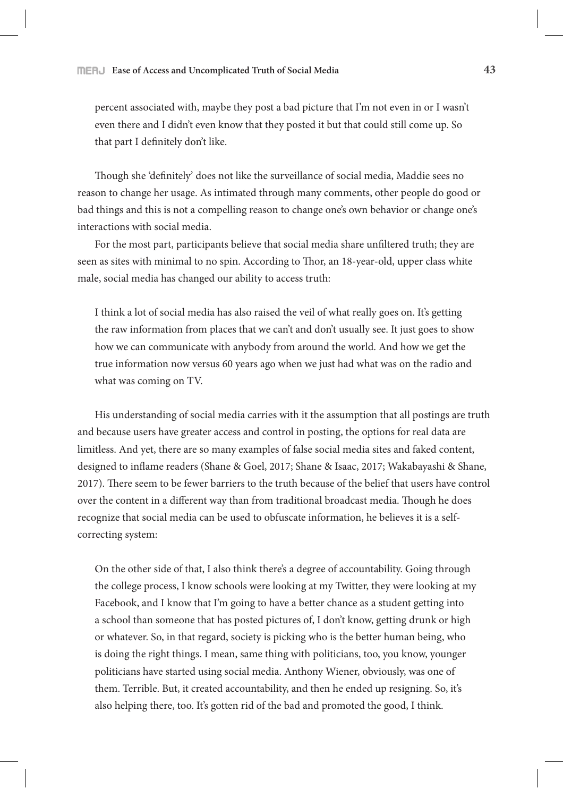percent associated with, maybe they post a bad picture that I'm not even in or I wasn't even there and I didn't even know that they posted it but that could still come up. So that part I definitely don't like.

Though she 'definitely' does not like the surveillance of social media, Maddie sees no reason to change her usage. As intimated through many comments, other people do good or bad things and this is not a compelling reason to change one's own behavior or change one's interactions with social media.

For the most part, participants believe that social media share unfiltered truth; they are seen as sites with minimal to no spin. According to Thor, an 18-year-old, upper class white male, social media has changed our ability to access truth:

I think a lot of social media has also raised the veil of what really goes on. It's getting the raw information from places that we can't and don't usually see. It just goes to show how we can communicate with anybody from around the world. And how we get the true information now versus 60 years ago when we just had what was on the radio and what was coming on TV.

His understanding of social media carries with it the assumption that all postings are truth and because users have greater access and control in posting, the options for real data are limitless. And yet, there are so many examples of false social media sites and faked content, designed to inflame readers (Shane & Goel, 2017; Shane & Isaac, 2017; Wakabayashi & Shane, 2017). There seem to be fewer barriers to the truth because of the belief that users have control over the content in a different way than from traditional broadcast media. Though he does recognize that social media can be used to obfuscate information, he believes it is a selfcorrecting system:

On the other side of that, I also think there's a degree of accountability. Going through the college process, I know schools were looking at my Twitter, they were looking at my Facebook, and I know that I'm going to have a better chance as a student getting into a school than someone that has posted pictures of, I don't know, getting drunk or high or whatever. So, in that regard, society is picking who is the better human being, who is doing the right things. I mean, same thing with politicians, too, you know, younger politicians have started using social media. Anthony Wiener, obviously, was one of them. Terrible. But, it created accountability, and then he ended up resigning. So, it's also helping there, too. It's gotten rid of the bad and promoted the good, I think.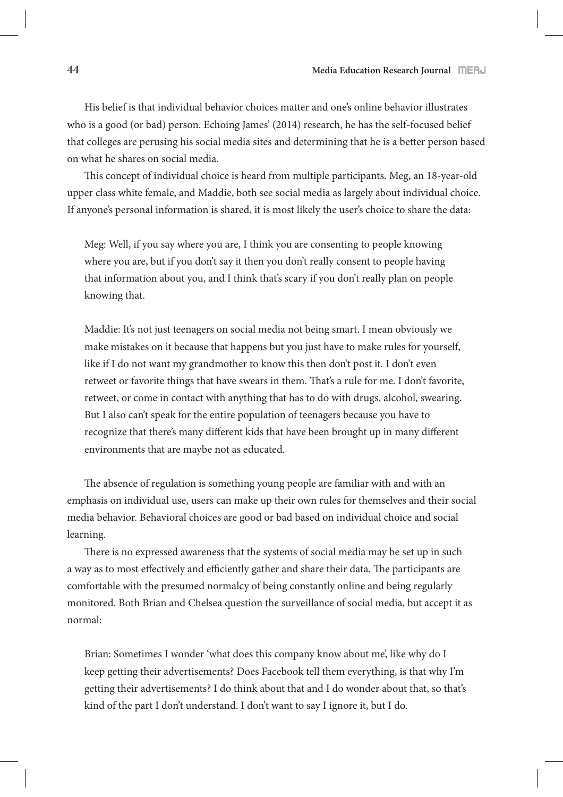His belief is that individual behavior choices matter and one's online behavior illustrates who is a good (or bad) person. Echoing James' (2014) research, he has the self-focused belief that colleges are perusing his social media sites and determining that he is a better person based on what he shares on social media.

This concept of individual choice is heard from multiple participants. Meg, an 18-year-old upper class white female, and Maddie, both see social media as largely about individual choice. If anyone's personal information is shared, it is most likely the user's choice to share the data:

Meg: Well, if you say where you are, I think you are consenting to people knowing where you are, but if you don't say it then you don't really consent to people having that information about you, and I think that's scary if you don't really plan on people knowing that.

Maddie: It's not just teenagers on social media not being smart. I mean obviously we make mistakes on it because that happens but you just have to make rules for yourself, like if I do not want my grandmother to know this then don't post it. I don't even retweet or favorite things that have swears in them. That's a rule for me. I don't favorite, retweet, or come in contact with anything that has to do with drugs, alcohol, swearing. But I also can't speak for the entire population of teenagers because you have to recognize that there's many different kids that have been brought up in many different environments that are maybe not as educated.

The absence of regulation is something young people are familiar with and with an emphasis on individual use, users can make up their own rules for themselves and their social media behavior. Behavioral choices are good or bad based on individual choice and social learning.

There is no expressed awareness that the systems of social media may be set up in such a way as to most effectively and efficiently gather and share their data. The participants are comfortable with the presumed normalcy of being constantly online and being regularly monitored. Both Brian and Chelsea question the surveillance of social media, but accept it as normal:

Brian: Sometimes I wonder 'what does this company know about me', like why do I keep getting their advertisements? Does Facebook tell them everything, is that why I'm getting their advertisements? I do think about that and I do wonder about that, so that's kind of the part I don't understand. I don't want to say I ignore it, but I do.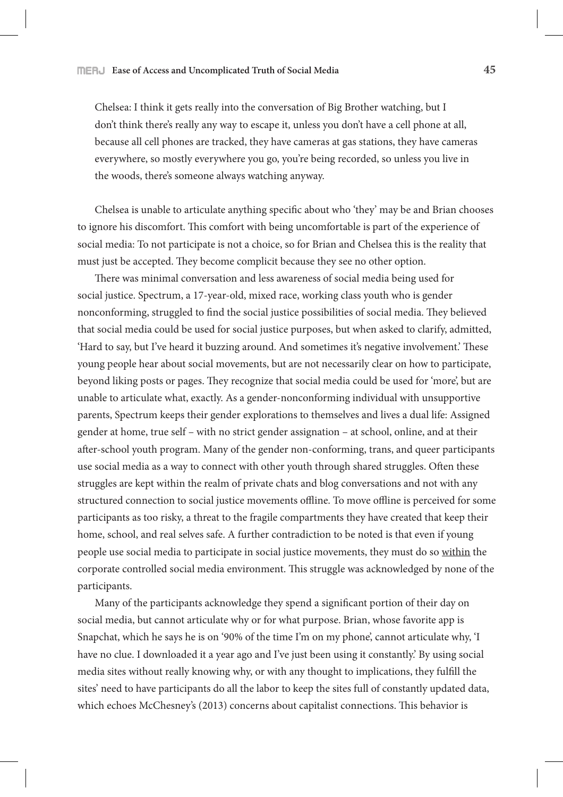Chelsea: I think it gets really into the conversation of Big Brother watching, but I don't think there's really any way to escape it, unless you don't have a cell phone at all, because all cell phones are tracked, they have cameras at gas stations, they have cameras everywhere, so mostly everywhere you go, you're being recorded, so unless you live in the woods, there's someone always watching anyway.

Chelsea is unable to articulate anything specific about who 'they' may be and Brian chooses to ignore his discomfort. This comfort with being uncomfortable is part of the experience of social media: To not participate is not a choice, so for Brian and Chelsea this is the reality that must just be accepted. They become complicit because they see no other option.

There was minimal conversation and less awareness of social media being used for social justice. Spectrum, a 17-year-old, mixed race, working class youth who is gender nonconforming, struggled to find the social justice possibilities of social media. They believed that social media could be used for social justice purposes, but when asked to clarify, admitted, 'Hard to say, but I've heard it buzzing around. And sometimes it's negative involvement.' These young people hear about social movements, but are not necessarily clear on how to participate, beyond liking posts or pages. They recognize that social media could be used for 'more', but are unable to articulate what, exactly. As a gender-nonconforming individual with unsupportive parents, Spectrum keeps their gender explorations to themselves and lives a dual life: Assigned gender at home, true self – with no strict gender assignation – at school, online, and at their after-school youth program. Many of the gender non-conforming, trans, and queer participants use social media as a way to connect with other youth through shared struggles. Often these struggles are kept within the realm of private chats and blog conversations and not with any structured connection to social justice movements offline. To move offline is perceived for some participants as too risky, a threat to the fragile compartments they have created that keep their home, school, and real selves safe. A further contradiction to be noted is that even if young people use social media to participate in social justice movements, they must do so within the corporate controlled social media environment. This struggle was acknowledged by none of the participants.

Many of the participants acknowledge they spend a significant portion of their day on social media, but cannot articulate why or for what purpose. Brian, whose favorite app is Snapchat, which he says he is on '90% of the time I'm on my phone', cannot articulate why, 'I have no clue. I downloaded it a year ago and I've just been using it constantly.' By using social media sites without really knowing why, or with any thought to implications, they fulfill the sites' need to have participants do all the labor to keep the sites full of constantly updated data, which echoes McChesney's (2013) concerns about capitalist connections. This behavior is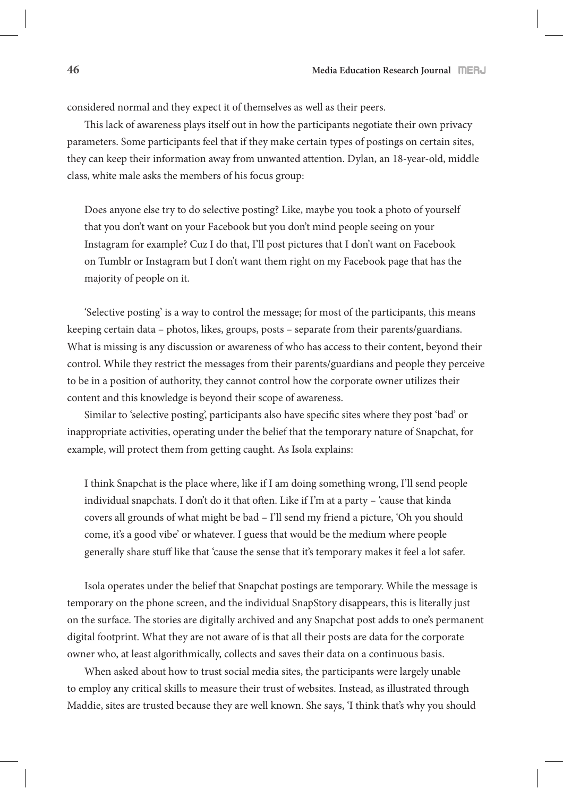considered normal and they expect it of themselves as well as their peers.

This lack of awareness plays itself out in how the participants negotiate their own privacy parameters. Some participants feel that if they make certain types of postings on certain sites, they can keep their information away from unwanted attention. Dylan, an 18-year-old, middle class, white male asks the members of his focus group:

Does anyone else try to do selective posting? Like, maybe you took a photo of yourself that you don't want on your Facebook but you don't mind people seeing on your Instagram for example? Cuz I do that, I'll post pictures that I don't want on Facebook on Tumblr or Instagram but I don't want them right on my Facebook page that has the majority of people on it.

'Selective posting' is a way to control the message; for most of the participants, this means keeping certain data – photos, likes, groups, posts – separate from their parents/guardians. What is missing is any discussion or awareness of who has access to their content, beyond their control. While they restrict the messages from their parents/guardians and people they perceive to be in a position of authority, they cannot control how the corporate owner utilizes their content and this knowledge is beyond their scope of awareness.

Similar to 'selective posting', participants also have specific sites where they post 'bad' or inappropriate activities, operating under the belief that the temporary nature of Snapchat, for example, will protect them from getting caught. As Isola explains:

I think Snapchat is the place where, like if I am doing something wrong, I'll send people individual snapchats. I don't do it that often. Like if I'm at a party - 'cause that kinda covers all grounds of what might be bad – I'll send my friend a picture, 'Oh you should come, it's a good vibe' or whatever. I guess that would be the medium where people generally share stuff like that 'cause the sense that it's temporary makes it feel a lot safer.

Isola operates under the belief that Snapchat postings are temporary. While the message is temporary on the phone screen, and the individual SnapStory disappears, this is literally just on the surface. The stories are digitally archived and any Snapchat post adds to one's permanent digital footprint. What they are not aware of is that all their posts are data for the corporate owner who, at least algorithmically, collects and saves their data on a continuous basis.

When asked about how to trust social media sites, the participants were largely unable to employ any critical skills to measure their trust of websites. Instead, as illustrated through Maddie, sites are trusted because they are well known. She says, 'I think that's why you should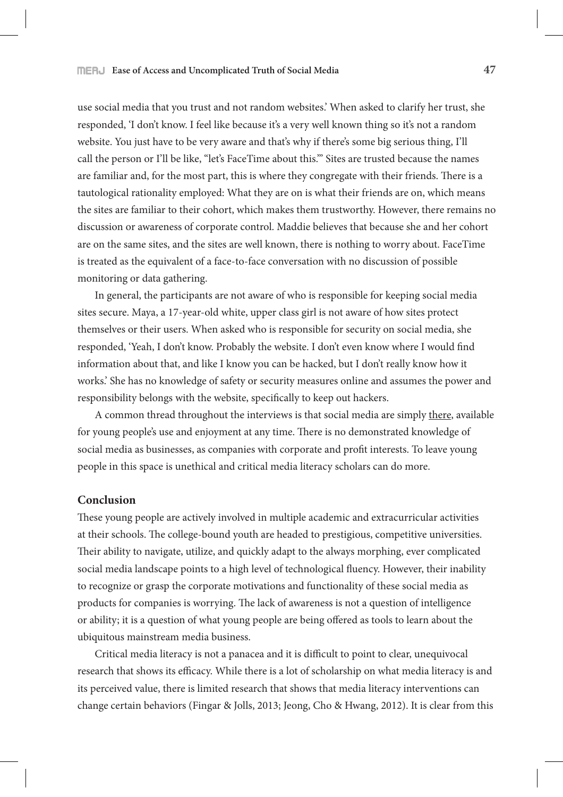use social media that you trust and not random websites.' When asked to clarify her trust, she responded, 'I don't know. I feel like because it's a very well known thing so it's not a random website. You just have to be very aware and that's why if there's some big serious thing, I'll call the person or I'll be like, "let's FaceTime about this."' Sites are trusted because the names are familiar and, for the most part, this is where they congregate with their friends. There is a tautological rationality employed: What they are on is what their friends are on, which means the sites are familiar to their cohort, which makes them trustworthy. However, there remains no discussion or awareness of corporate control. Maddie believes that because she and her cohort are on the same sites, and the sites are well known, there is nothing to worry about. FaceTime is treated as the equivalent of a face-to-face conversation with no discussion of possible monitoring or data gathering.

In general, the participants are not aware of who is responsible for keeping social media sites secure. Maya, a 17-year-old white, upper class girl is not aware of how sites protect themselves or their users. When asked who is responsible for security on social media, she responded, 'Yeah, I don't know. Probably the website. I don't even know where I would find information about that, and like I know you can be hacked, but I don't really know how it works.' She has no knowledge of safety or security measures online and assumes the power and responsibility belongs with the website, specifically to keep out hackers.

A common thread throughout the interviews is that social media are simply there, available for young people's use and enjoyment at any time. There is no demonstrated knowledge of social media as businesses, as companies with corporate and profit interests. To leave young people in this space is unethical and critical media literacy scholars can do more.

## **Conclusion**

These young people are actively involved in multiple academic and extracurricular activities at their schools. The college-bound youth are headed to prestigious, competitive universities. Their ability to navigate, utilize, and quickly adapt to the always morphing, ever complicated social media landscape points to a high level of technological fluency. However, their inability to recognize or grasp the corporate motivations and functionality of these social media as products for companies is worrying. The lack of awareness is not a question of intelligence or ability; it is a question of what young people are being offered as tools to learn about the ubiquitous mainstream media business.

Critical media literacy is not a panacea and it is difficult to point to clear, unequivocal research that shows its efficacy. While there is a lot of scholarship on what media literacy is and its perceived value, there is limited research that shows that media literacy interventions can change certain behaviors (Fingar & Jolls, 2013; Jeong, Cho & Hwang, 2012). It is clear from this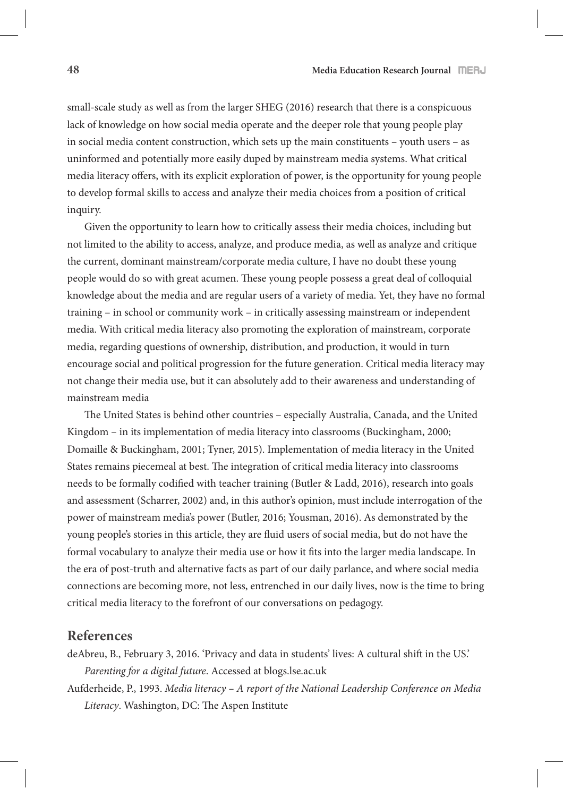small-scale study as well as from the larger SHEG (2016) research that there is a conspicuous lack of knowledge on how social media operate and the deeper role that young people play in social media content construction, which sets up the main constituents – youth users – as uninformed and potentially more easily duped by mainstream media systems. What critical media literacy offers, with its explicit exploration of power, is the opportunity for young people to develop formal skills to access and analyze their media choices from a position of critical inquiry.

Given the opportunity to learn how to critically assess their media choices, including but not limited to the ability to access, analyze, and produce media, as well as analyze and critique the current, dominant mainstream/corporate media culture, I have no doubt these young people would do so with great acumen. These young people possess a great deal of colloquial knowledge about the media and are regular users of a variety of media. Yet, they have no formal training – in school or community work – in critically assessing mainstream or independent media. With critical media literacy also promoting the exploration of mainstream, corporate media, regarding questions of ownership, distribution, and production, it would in turn encourage social and political progression for the future generation. Critical media literacy may not change their media use, but it can absolutely add to their awareness and understanding of mainstream media

The United States is behind other countries – especially Australia, Canada, and the United Kingdom – in its implementation of media literacy into classrooms (Buckingham, 2000; Domaille & Buckingham, 2001; Tyner, 2015). Implementation of media literacy in the United States remains piecemeal at best. The integration of critical media literacy into classrooms needs to be formally codified with teacher training (Butler & Ladd, 2016), research into goals and assessment (Scharrer, 2002) and, in this author's opinion, must include interrogation of the power of mainstream media's power (Butler, 2016; Yousman, 2016). As demonstrated by the young people's stories in this article, they are fluid users of social media, but do not have the formal vocabulary to analyze their media use or how it fits into the larger media landscape. In the era of post-truth and alternative facts as part of our daily parlance, and where social media connections are becoming more, not less, entrenched in our daily lives, now is the time to bring critical media literacy to the forefront of our conversations on pedagogy.

# **References**

deAbreu, B., February 3, 2016. 'Privacy and data in students' lives: A cultural shift in the US.' *Parenting for a digital future*. Accessed at blogs.lse.ac.uk

Aufderheide, P., 1993. *Media literacy – A report of the National Leadership Conference on Media Literacy*. Washington, DC: The Aspen Institute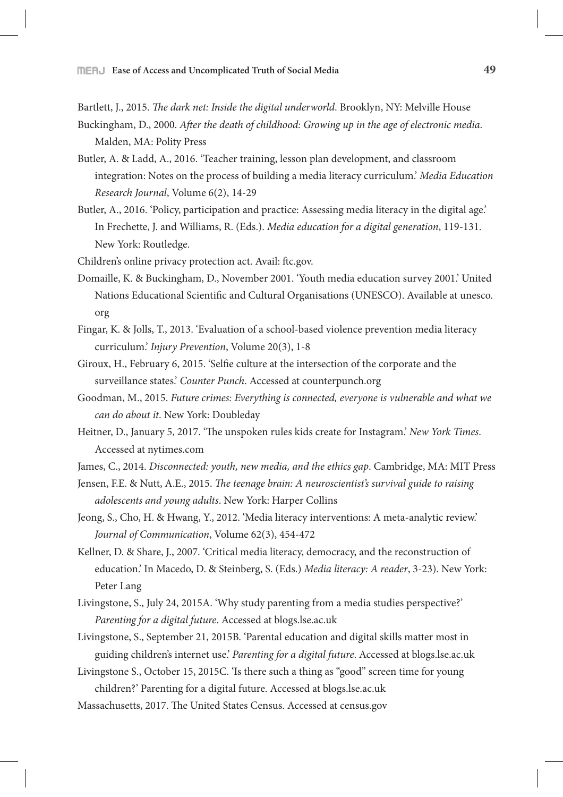Bartlett, J., 2015. *The dark net: Inside the digital underworld*. Brooklyn, NY: Melville House

- Buckingham, D., 2000. *A*"*er the death of childhood: Growing up in the age of electronic media*. Malden, MA: Polity Press
- Butler, A. & Ladd, A., 2016. 'Teacher training, lesson plan development, and classroom integration: Notes on the process of building a media literacy curriculum.' *Media Education Research Journal*, Volume 6(2), 14-29
- Butler, A., 2016. 'Policy, participation and practice: Assessing media literacy in the digital age.' In Frechette, J. and Williams, R. (Eds.). *Media education for a digital generation*, 119-131. New York: Routledge.
- Children's online privacy protection act. Avail: ftc.gov.
- Domaille, K. & Buckingham, D., November 2001. 'Youth media education survey 2001.' United Nations Educational Scientific and Cultural Organisations (UNESCO). Available at unesco. org
- Fingar, K. & Jolls, T., 2013. 'Evaluation of a school-based violence prevention media literacy curriculum.' *Injury Prevention*, Volume 20(3), 1-8
- Giroux, H., February 6, 2015. 'Selfie culture at the intersection of the corporate and the surveillance states.' *Counter Punch*. Accessed at counterpunch.org
- Goodman, M., 2015. *Future crimes: Everything is connected, everyone is vulnerable and what we can do about it*. New York: Doubleday
- Heitner, D., January 5, 2017. 'The unspoken rules kids create for Instagram.' *New York Times*. Accessed at nytimes.com
- James, C., 2014. *Disconnected: youth, new media, and the ethics gap*. Cambridge, MA: MIT Press
- Jensen, F.E. & Nutt, A.E., 2015. !*e teenage brain: A neuroscientist's survival guide to raising adolescents and young adults*. New York: Harper Collins
- Jeong, S., Cho, H. & Hwang, Y., 2012. 'Media literacy interventions: A meta-analytic review.' *Journal of Communication*, Volume 62(3), 454-472
- Kellner, D. & Share, J., 2007. 'Critical media literacy, democracy, and the reconstruction of education.' In Macedo, D. & Steinberg, S. (Eds.) *Media literacy: A reader*, 3-23). New York: Peter Lang
- Livingstone, S., July 24, 2015A. 'Why study parenting from a media studies perspective?' *Parenting for a digital future*. Accessed at blogs.lse.ac.uk
- Livingstone, S., September 21, 2015B. 'Parental education and digital skills matter most in guiding children's internet use.' *Parenting for a digital future*. Accessed at blogs.lse.ac.uk
- Livingstone S., October 15, 2015C. 'Is there such a thing as "good" screen time for young children?' Parenting for a digital future. Accessed at blogs.lse.ac.uk
- Massachusetts, 2017. The United States Census. Accessed at census.gov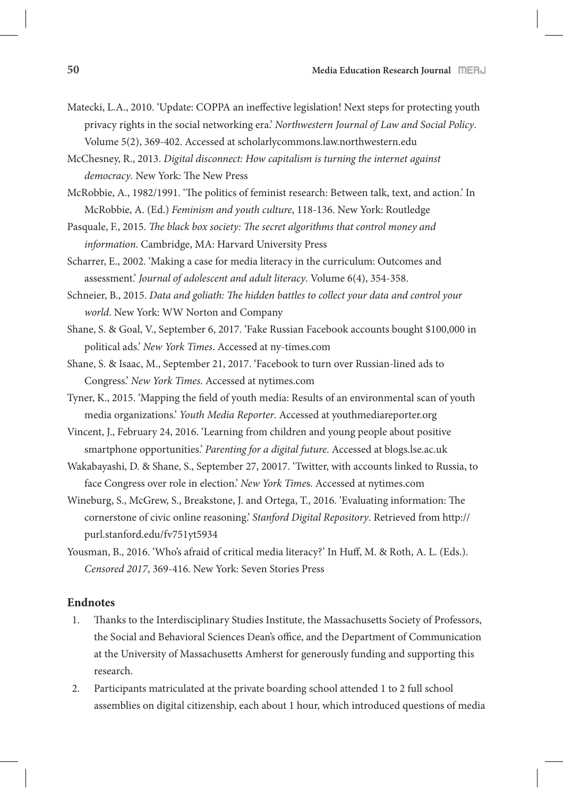Matecki, L.A., 2010. 'Update: COPPA an ineffective legislation! Next steps for protecting youth privacy rights in the social networking era.' *Northwestern Journal of Law and Social Policy*. Volume 5(2), 369-402. Accessed at scholarlycommons.law.northwestern.edu

McChesney, R., 2013. *Digital disconnect: How capitalism is turning the internet against democracy*. New York: The New Press

- McRobbie, A., 1982/1991. 'The politics of feminist research: Between talk, text, and action.' In McRobbie, A. (Ed.) *Feminism and youth culture*, 118-136. New York: Routledge
- Pasquale, F., 2015. *The black box society: The secret algorithms that control money and information*. Cambridge, MA: Harvard University Press
- Scharrer, E., 2002. 'Making a case for media literacy in the curriculum: Outcomes and assessment.' *Journal of adolescent and adult literacy*. Volume 6(4), 354-358.
- Schneier, B., 2015. *Data and goliath:* !*e hidden battles to collect your data and control your world*. New York: WW Norton and Company
- Shane, S. & Goal, V., September 6, 2017. 'Fake Russian Facebook accounts bought \$100,000 in political ads.' *New York Times*. Accessed at ny-times.com
- Shane, S. & Isaac, M., September 21, 2017. 'Facebook to turn over Russian-lined ads to Congress.' *New York Times*. Accessed at nytimes.com
- Tyner, K., 2015. 'Mapping the field of youth media: Results of an environmental scan of youth media organizations.' *Youth Media Reporter*. Accessed at youthmediareporter.org
- Vincent, J., February 24, 2016. 'Learning from children and young people about positive smartphone opportunities.' *Parenting for a digital future*. Accessed at blogs.lse.ac.uk
- Wakabayashi, D. & Shane, S., September 27, 20017. 'Twitter, with accounts linked to Russia, to face Congress over role in election.' *New York Time*s. Accessed at nytimes.com
- Wineburg, S., McGrew, S., Breakstone, J. and Ortega, T., 2016. 'Evaluating information: The cornerstone of civic online reasoning.' *Stanford Digital Repository*. Retrieved from http:// purl.stanford.edu/fv751yt5934
- Yousman, B., 2016. 'Who's afraid of critical media literacy?' In Huff, M. & Roth, A. L. (Eds.). *Censored 2017*, 369-416. New York: Seven Stories Press

## **Endnotes**

- 1. Thanks to the Interdisciplinary Studies Institute, the Massachusetts Society of Professors, the Social and Behavioral Sciences Dean's office, and the Department of Communication at the University of Massachusetts Amherst for generously funding and supporting this research.
- 2. Participants matriculated at the private boarding school attended 1 to 2 full school assemblies on digital citizenship, each about 1 hour, which introduced questions of media